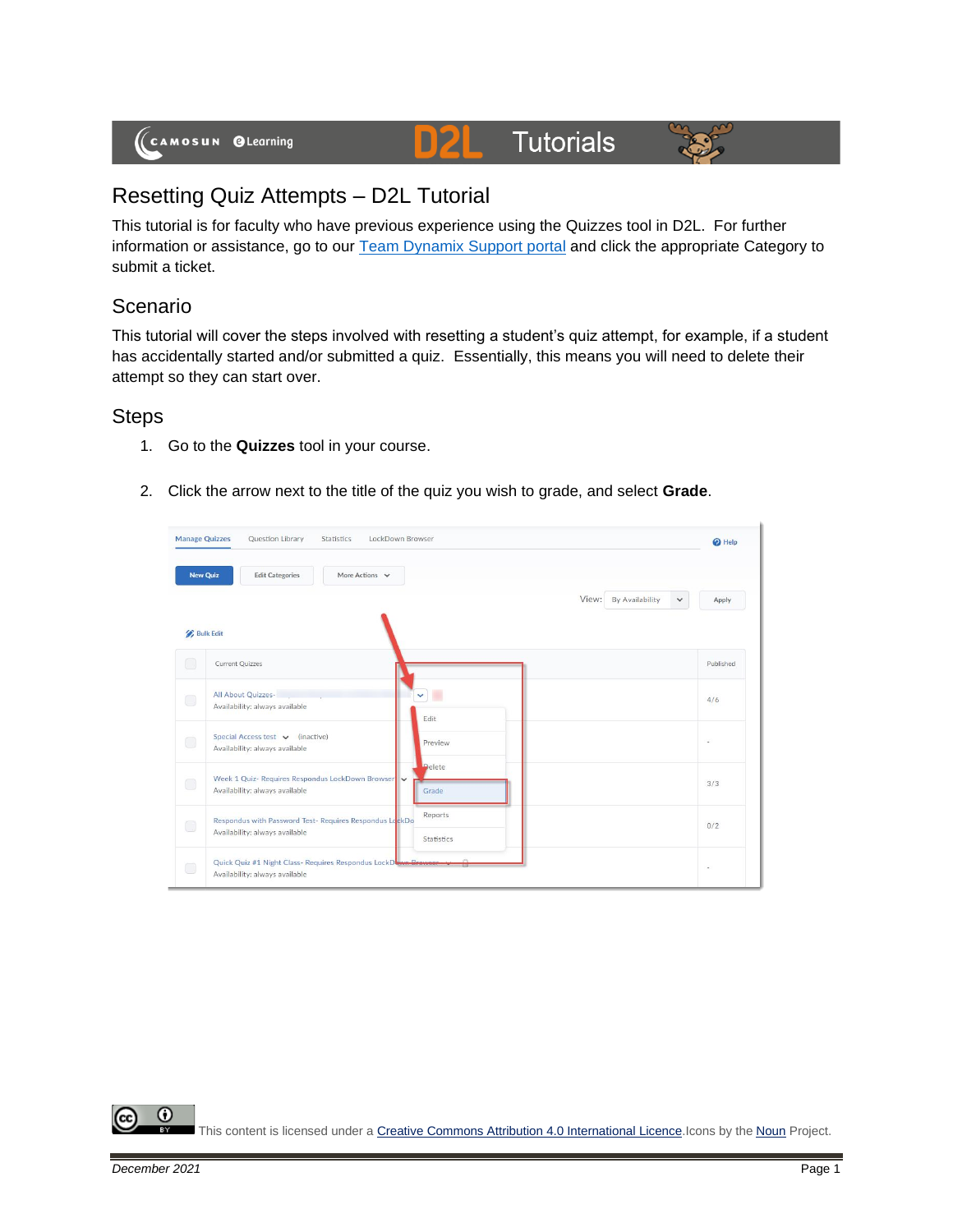

#### **Tutorials** D)2



# Resetting Quiz Attempts – D2L Tutorial

This tutorial is for faculty who have previous experience using the Quizzes tool in D2L. For further information or assistance, go to our **Team Dynamix Support portal** and click the appropriate Category to submit a ticket.

# Scenario

This tutorial will cover the steps involved with resetting a student's quiz attempt, for example, if a student has accidentally started and/or submitted a quiz. Essentially, this means you will need to delete their attempt so they can start over.

## **Steps**

- 1. Go to the **Quizzes** tool in your course.
- 2. Click the arrow next to the title of the quiz you wish to grade, and select **Grade**.

| <b>New Quiz</b>                        | More Actions $\vee$<br><b>Edit Categories</b>                                                    |                          |                       |
|----------------------------------------|--------------------------------------------------------------------------------------------------|--------------------------|-----------------------|
|                                        |                                                                                                  | View:<br>By Availability | $\checkmark$<br>Apply |
| <b>Bulk Edit</b>                       |                                                                                                  |                          |                       |
| $\Box$                                 | <b>Current Quizzes</b>                                                                           |                          | Published             |
| $\Box$                                 | All About Quizzes-<br>Availability: always available                                             | ۰<br>$\checkmark$        | 4/6                   |
|                                        |                                                                                                  | Edit                     |                       |
| $\Box$                                 | Special Access test v (inactive)<br>Availability: always available                               | Preview                  | u                     |
|                                        | Week 1 Quiz- Requires Respondus LockDown Browser                                                 | <b>Delete</b>            |                       |
| $\Box$                                 | Availability: always available                                                                   | Grade                    | 3/3                   |
| $\begin{pmatrix} 1 \\ 1 \end{pmatrix}$ | Respondus with Password Test- Requires Respondus LockDo                                          | Reports                  | 0/2                   |
|                                        | Availability: always available                                                                   | Statistics               |                       |
| $\Box$                                 | Quick Quiz #1 Night Class- Requires Respondus LockDown Browser<br>Availability: always available |                          | $\sim$                |

⋒ This content is licensed under [a Creative Commons Attribution 4.0 International Licence.I](https://creativecommons.org/licenses/by/4.0/)cons by the [Noun](https://creativecommons.org/website-icons/) Project.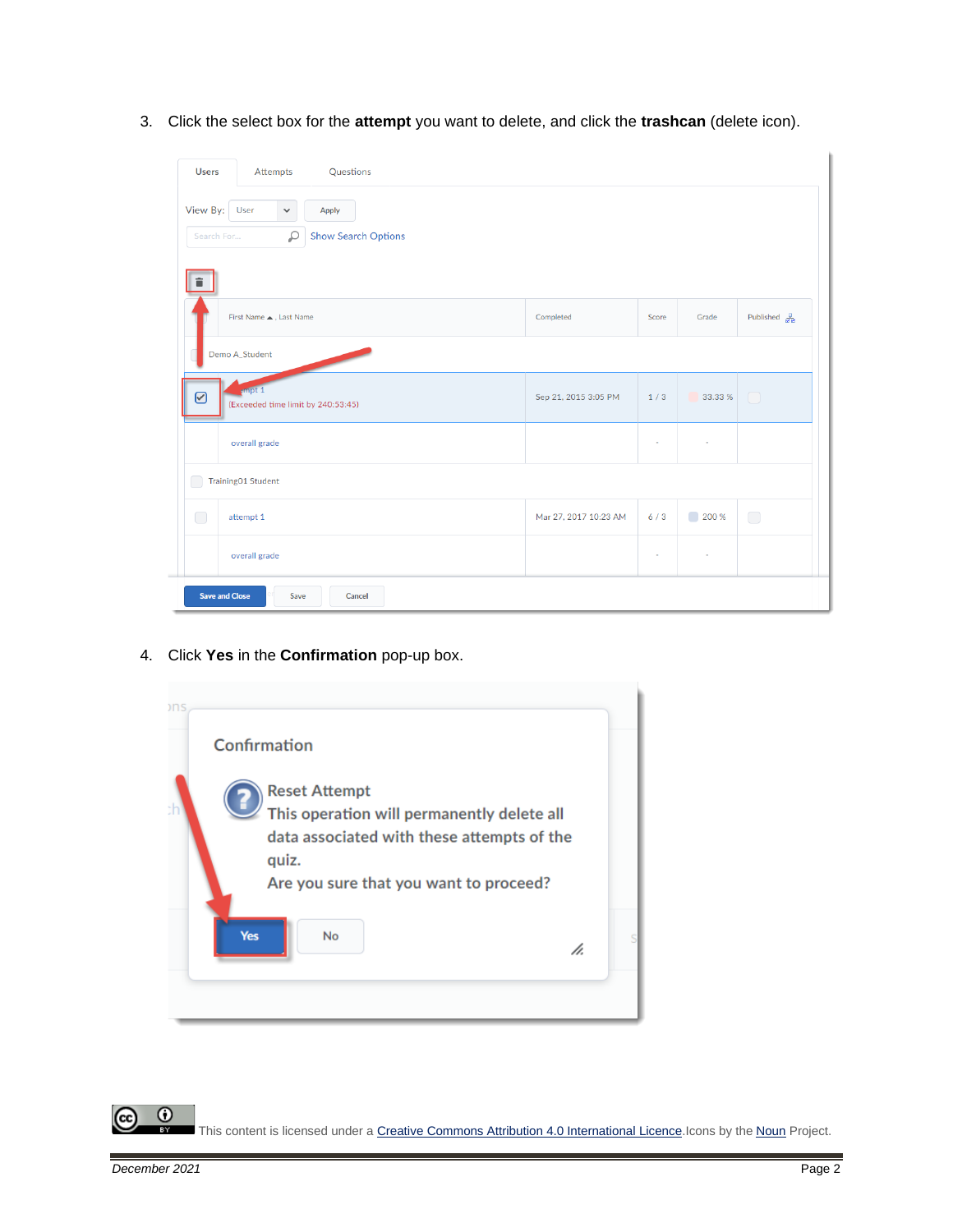3. Click the select box for the **attempt** you want to delete, and click the **trashcan** (delete icon).

| <b>Users</b>           | Attempts                                            | Questions                           |                       |                          |                                     |                                        |
|------------------------|-----------------------------------------------------|-------------------------------------|-----------------------|--------------------------|-------------------------------------|----------------------------------------|
| View By:<br>Search For | User<br>$\checkmark$<br>₽                           | Apply<br><b>Show Search Options</b> |                       |                          |                                     |                                        |
|                        | First Name . Last Name                              |                                     | Completed             | Score                    | Grade                               | Published $\frac{\pi}{2a}$             |
|                        | Demo A_Student<br>empt 2                            |                                     |                       |                          |                                     |                                        |
| ✔                      | (Exceeded time limit by 240:53:45)<br>overall grade |                                     | Sep 21, 2015 3:05 PM  | 1/3<br>٠                 | 33.33 %<br>$\overline{\phantom{a}}$ | $\begin{array}{c} \square \end{array}$ |
| r                      | Training01 Student                                  |                                     |                       |                          |                                     |                                        |
| $\Box$                 | attempt 1                                           |                                     | Mar 27, 2017 10:23 AM | 6/3                      | $\blacksquare$<br>200 %             | $\bigcirc$                             |
|                        | overall grade                                       |                                     |                       | $\overline{\phantom{a}}$ | ٠                                   |                                        |
| <b>Save and Close</b>  | Save                                                | Cancel                              |                       |                          |                                     |                                        |

4. Click **Yes** in the **Confirmation** pop-up box.



 $\odot$ This content is licensed under [a Creative Commons Attribution 4.0 International Licence.I](https://creativecommons.org/licenses/by/4.0/)cons by the [Noun](https://creativecommons.org/website-icons/) Project.